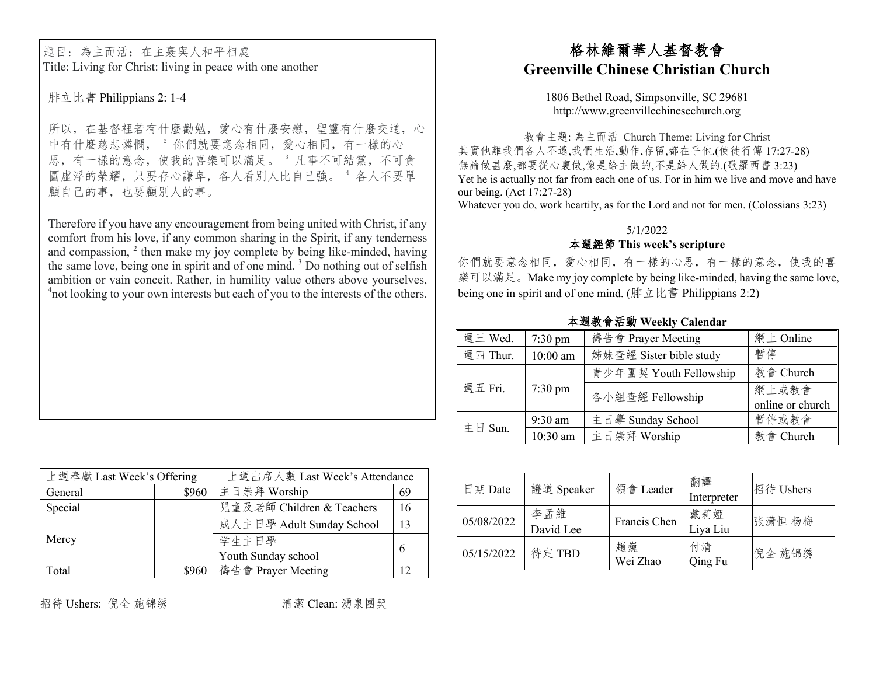题目:為主而活:在主裹與人和平相處 Title: Living for Christ: living in peace with one another

腓立比書 Philippians 2: 1-4

所以,在基督裡若有什麼勸勉,愛心有什麼安慰,聖靈有什麼交通,心 中有什麼慈悲憐憫, 2 你們就要意念相同, 愛心相同, 有一樣的心 思,有一樣的意念,使我的喜樂可以滿足。 "凡事不可結黨,不可貪 圖虛浮的榮耀,只要存心謙卑,各人看別人比自己強。 4 各人不要單 顧自己的事,也要顧別人的事。

Therefore if you have any encouragement from being united with Christ, if any comfort from his love, if any common sharing in the Spirit, if any tenderness and compassion,  $2$  then make my joy complete by being like-minded, having the same love, being one in spirit and of one mind. <sup>3</sup> Do nothing out of selfish ambition or vain conceit. Rather, in humility value others above yourselves, <sup>4</sup> not looking to your own interests but each of you to the interests of the others.

# 格林維爾華人基督教會 **Greenville Chinese Christian Church**

1806 Bethel Road, Simpsonville, SC 29681 http://www.greenvillechinesechurch.org

教會主題: 為主而活 Church Theme: Living for Christ 其實他離我們各人不遠,我們生活,動作,存留,都在乎他.(使徒行傳 17:27-28) 無論做甚麼,都要從心裏做,像是給主做的,不是給人做的.(歌羅西書3:23) Yet he is actually not far from each one of us. For in him we live and move and have our being. (Act 17:27-28) Whatever you do, work heartily, as for the Lord and not for men. (Colossians 3:23)

## 5/1/2022

### ./01 **This week's scripture**

你們就要意念相同,愛心相同,有一樣的心思,有一樣的意念,使我的喜 樂可以滿足。Make my joy complete by being like-minded, having the same love, being one in spirit and of one mind. (腓立比書 Philippians 2:2)

本週教會活動 Weekly Calendar

| 週三 Wed.  | $7:30 \text{ pm}$ | 禱告會 Prayer Meeting      | 網上 Online        |
|----------|-------------------|-------------------------|------------------|
| 週四 Thur. | $10:00$ am        | 姊妹查經 Sister bible study | 暫停               |
| 週五 Fri.  | $7:30 \text{ pm}$ | 青少年團契 Youth Fellowship  | 教會 Church        |
|          |                   | 各小組查經 Fellowship        | 網上或教會            |
|          |                   |                         | online or church |
| 主日 Sun.  | $9:30$ am         | 主日學 Sunday School       | 暫停或教會            |
|          | 10:30 am          | 主日崇拜 Worship            | 教會 Church        |

| 上週奉獻 Last Week's Offering |       | 上週出席人數 Last Week's Attendance |    |  |
|---------------------------|-------|-------------------------------|----|--|
| General                   | \$960 | 主日崇拜 Worship                  | 69 |  |
| Special                   |       | 兒童及老師 Children & Teachers     | 16 |  |
|                           |       | 成人主日學 Adult Sunday School     | 13 |  |
| Mercy                     |       | 学生主日學                         | 6  |  |
|                           |       | Youth Sunday school           |    |  |
| Total                     | \$960 | 禱告會 Prayer Meeting            |    |  |

| 日期 Date    | 證道 Speaker       | 領會 Leader      | 翻譯<br>Interpreter | 招待 Ushers |
|------------|------------------|----------------|-------------------|-----------|
| 05/08/2022 | 李孟維<br>David Lee | Francis Chen   | 戴莉婭<br>Liya Liu   | 张潇恒杨梅     |
| 05/15/2022 | 待定 TBD           | 趙巍<br>Wei Zhao | 付清<br>Qing Fu     | 倪全 施锦绣    |

招待 Ushers: 倪全 施锦绣 | | | | | | | | | 清潔 Clean: 湧泉團契